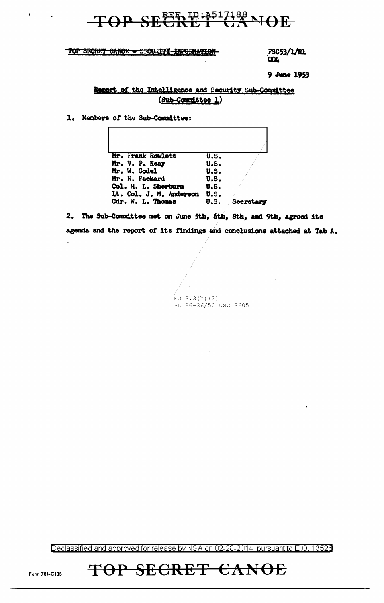### TOP SECRET CANOE - SECURITY INFORMATION

 $\bar{\mathbf{t}}$ 

FSC53/1/R1 **LOO** 

9 June 1953

### Report of the Intelligence and Security Sub-Committee (Sub-Committee 1)

1. Members of the Sub-Committee:

| Mr. Frank Rowlett       | $\overline{\mathbf{u}}.\mathbf{s}$ . |         |
|-------------------------|--------------------------------------|---------|
| Mr. V. P. Keay          | U.S.                                 |         |
| Mr. W. Godel            | U.S.                                 |         |
| Mr. R. Packard          | U.S.                                 |         |
| Col. M. L. Sherburn     | U.S.                                 |         |
| Lt. Col. J. M. Anderson | U.S.                                 |         |
| Cdr. W. L. Thomas       | U.S.                                 | Secreta |

2. The Sub-Committee met on June 5th, 6th, 8th, and 9th, agreed its agenda and the report of its findings and conclusions attached at Tab A.

EO 3.3(h)(2)<br>PL 86-36/50 USC 3605

Declassified and approved for release by NSA on 02-28-2014 pursuant to E.O. 13526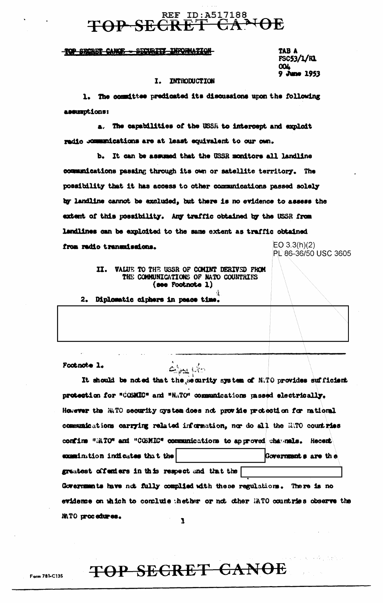## REF ID: A517188<br>SECRET CANOE

### TOP SECRET CANOE - SECURITY INFORMATION

TAB A FSC53/1/R1 **OOL** June 1953

### I. INTRODUCTION

1. The committee predicated its discussions upon the following assumptions:

a. The capabilities of the USSR to intercept and exploit radio comunications are at least equivalent to our own.

b. It can be assumed that the USSR monitors all landline communications passing through its own or satellite territory. The possibility that it has access to other communications passed solely by landline cannot be excluded, but there is no evidence to assess the extent of this possibility. Any traffic obtained by the USSR from landlines can be exploited to the same extent as traffic obtained EO  $3.3(h)(2)$ from radio transmissions.

PL 86-36/50 USC 3605

### II. VALUE TO THE USSR OF COMINT DERIVED FROM THE COMMUNICATIONS OF NATO COUNTRIES (see Footnote 1)

 $\triangle$  and  $k$  is

Diplomatic ciphers in peace time.  $2<sub>•</sub>$ 

Footnote 1.

MATO procedures.

It should be noted that the security system of N.TO provides sufficient protection for "COSMIC" and "NATO" communications passed electrically. However the NNTO security system does not provide protection for national communications carrying related information, nor do all the HATO countries confirm "MTO" and "COBMIC" communications to approved channels. Recent examinition indicates that the Governments are the greatest offenders in this respect and that the Governments have not fully complied with these regulations. There is no evidence on which to conclude thether or not other MATO countries observe the

ı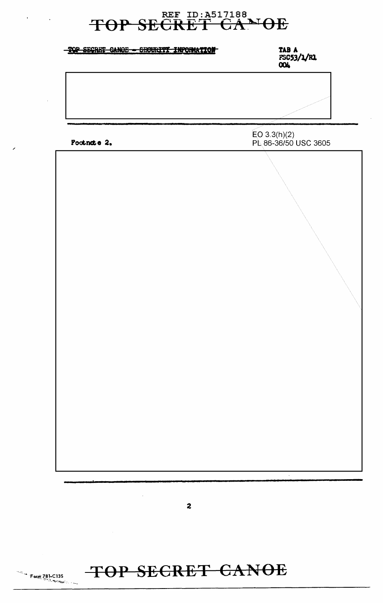| SECRET CANOE - SECURITY INFORMATION | <b>TAB A<br/>FSC53/1/R1<br/>004</b>  |  |
|-------------------------------------|--------------------------------------|--|
|                                     |                                      |  |
| Footnote 2.                         | EO 3.3(h)(2)<br>PL 86-36/50 USC 3605 |  |
|                                     |                                      |  |
|                                     |                                      |  |



**Form 781-C135**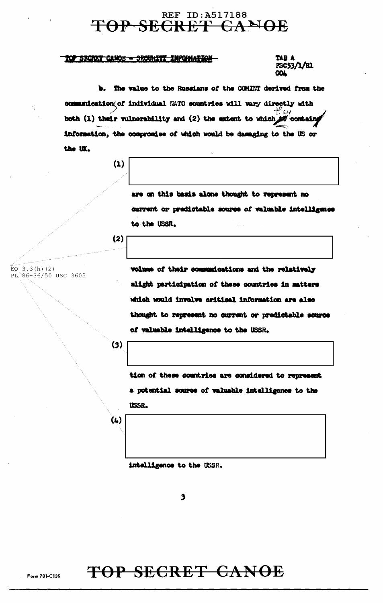### TOP SECRET CANOE - SECURITY INFORMATION

TAB A PSC53/1/R1 ൜

b. The value to the Russians of the COMINT derived from the communication of individual NATO countries will vary directly with both (1) their vulnerability and (2) the extent to which to containg information, the compromise of which would be damaging to the US or the UK.

 $(1)$ 

are on this basis alone thought to represent no current or predictable source of valuable intelligence to the USSR.

 $(2)$ 

EQ  $3.3(h)(2)$ PL 86-36/50 USC 3605 volume of their communications and the relatively alight participation of these countries in matters which would involve critical information are also thought to represent no current or predictable source of valuable intelligence to the USSR.

 $(3)$ 

tion of these countries are considered to represent a potential source of valuable intelligence to the USSR.

 $(4)$ 

intelligence to the USSR.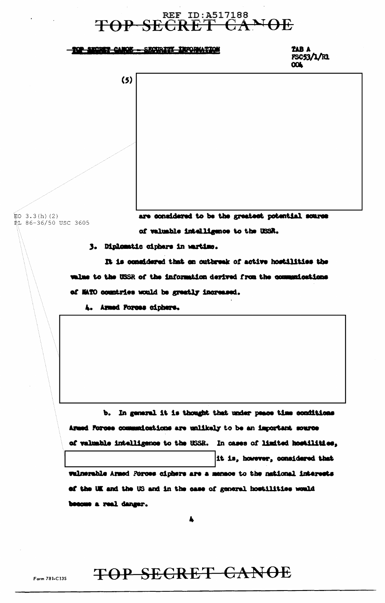### <u> - 202 SHORT CANOE - SECURITY INFORMATION</u>

TAB A FSC53/1/R1 **OOL** 

 $(5)$ 

 $EO$  3.3(h)(2) **RL 86-36/50 USC 3605**  are considered to be the greatest potential source of valuable intelligence to the USSR.

3. Diplomatic ciphers in wartime.

It is considered that on outbreak of active hostilities the walme to the USSR of the information derived from the communications of MATO countries would be greatly increased.

4. Armed Forces ciphers.

b. In general it is thought that under peace time conditions Armed Forces communications are unlikely to be an important source of valuable intelligence to the USSR. In cases of limited hostilities, it is, however, considered that wulnerable Armed Porces ciphers are a mensos to the national interests of the UK and the US and in the case of general hostilities would become a real danger.

A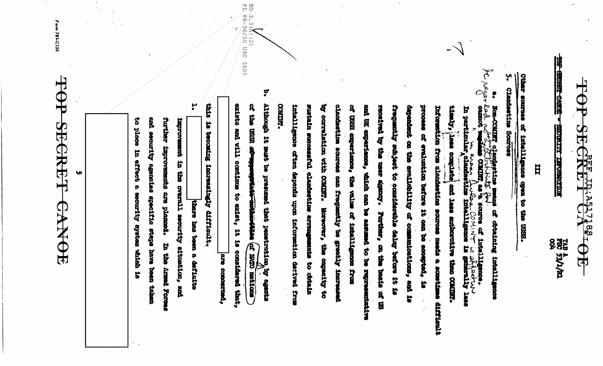$\mathbb T$ **SEP** CRF TRIASITIE OE

THE GREECH CANCE **ROCHELLE TRACERATION** 

TAB A<br>FBC 53/1/RL<br>004

Ħ

Other sources of intelligence of open to the USER.

Clandastine Sources

۷

**CONTRACTE CONTRACTES AND THE COVERANT SECONDED CONTRACTES** COMIDAT. by correlation with countr. intelligence often depends upon information derived from sustain successful clandestine arrange chanketthe sources on frequently be greatly increa of USER experience, the value of intelligence from and UK experience, which can be assumed to be representative received by the user signing. Further, on the basis of US frequently subject to considerable delay before it is dependent on the evaluability of commissionisms, and is process of evaluation before it can be socapted, is Information from clendastine sources needs a sometimes difficult timly, jess comiste w are the solution of the second of the strain of the strain of the straining of the straining of the straining of the straining of the straining of the straining of the straining of the straining of the straining of the s and less subburntive than COMING. Moreover, the capacity to mits to obtain L

 $\mathbf{r}$ Although 1t must be exists and vill continue to exist, it is considered that, or the USSR adv breamed that penetrotica, by egants **ALAND CREATION** explore them matically

ene concerned,

EO 3.3(h) (2)<br>PD 86 36/50

USC 3605

H thie and security agencies specific staps have been taken further improvements are pleased. improvement in the overall security situation, and is becoming increasingly difficult. thore has been a definite becoust beath add aft

to phace in effect a security system which is

 $\frac{1}{\sqrt{2}}$  $\bigoplus$ SECRET CANOB

**Vi** 

Form 781-C13S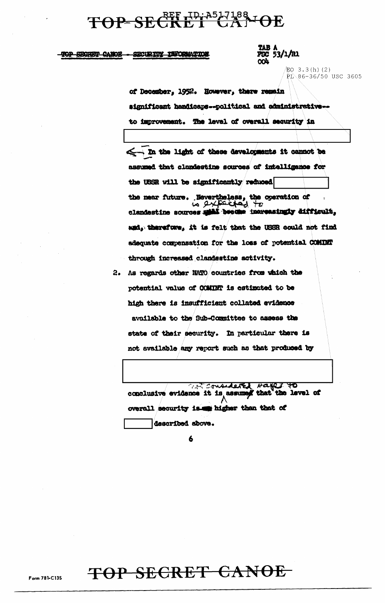### TOP-SECKET UNASHIBB TOE

#### TOP SECRET CANOE SECURITY INFORMATION

### TAB A<br>FSC 53/1/R1

EQ  $3.3(h)$  (2) PL 86-36/50 USC 3605

of December, 1952. However, there remain significant handicaps--political and administrative-to improvement. The level of overall security in

< . In the light of these developments it cannot be assumed that clandestine sources of intelligence for the USSR will be significantly reduced the near future. Nevertheless, the operation of<br> $\begin{array}{c} \hbox{to a} \rightarrow \pm \infty \\ \hbox{to a} \rightarrow \pm \infty \end{array}$ <br>clandestine sources split become increasingly difficult, and, therefore, it is felt that the USSR could not find adequate compensation for the loss of potential COMINT through increased clandestine activity.

2. As regards other NATO countries from which the potential value of COMINT is estimated to be high there is insufficient collated evidence available to the Sub-Committee to assess the state of their security. In particular there is not available any report such as that produced by

at considered bases to conclusive evidence it is assumed that the lavel of overall security is we higher than that of described above.

6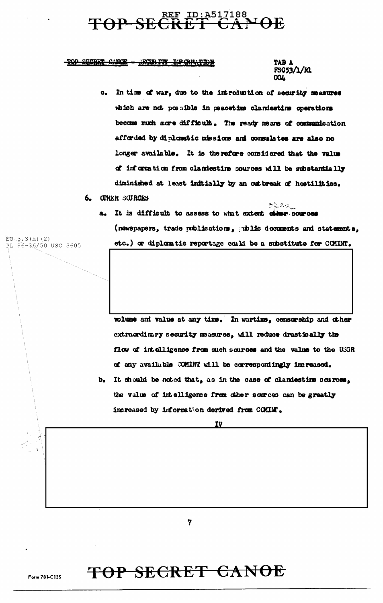#### REF ID: A517188 **IOE TOP SE**

#### TOP SECRET CANOE - GECORITY IN CRIMTION

TAB A FSC53/1/R1 **COL** 

 $5624$ 

- c. In time of war, due to the introduction of security measures which are not possible in peacetime clandestime operations become much more difficult. The ready means of communication afforded by diplomatic missions and consulates are also no longer available. It is therefore considered that the value of information from clandestine sources will be substantially diminished at least initially by an outbreak of hostilities.
- 6. CITHER SCURCES
	- a. It is difficult to assess to what extert chase sources (newspapers, trade publications, public documents and statements, etc.) or diplomatic reportage could be a substitute for COMINT.

volume and value at any time. In wartime, censorship and other extraordinary security masures, will reduce drastically the flow of intelligence from such sources and the value to the USSR of any available COMINT will be correspondingly increased.

b. It should be noted that, as in the case of clandestime sources, the value of intelligence from other sources can be greatly increased by information derived from COMINT.

IV

7

 $E0 - 3.3(h) (2)$ 

PL 86-36/50 USC 3605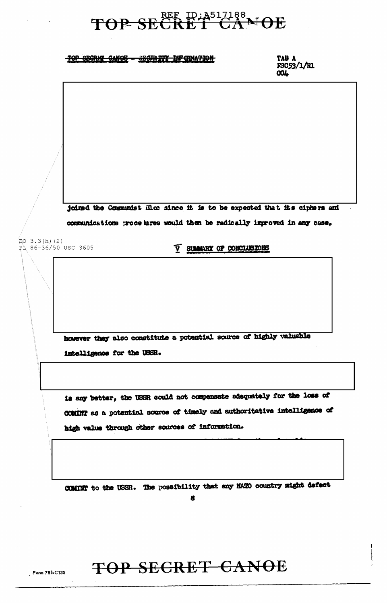### TOP SECRIT CANOE - SECURITY INFORMATION

TAB A FSC53/1/R1 **COL** 

joined the Communist Bloc since it is to be expected that its ciphers and communications procedures would then be radically improved in any case, EO  $3.3(h)$  (2) **V SUMMARY OF CONCLUSIONS** PL 86-36/50 USC 3605 however they also constitute a potential source of highly valuable intelligence for the USSR. is any better, the USSR could not compensate adequately for the loss of COMINT as a potential source of timely and authoritative intelligence of high value through other sources of information. COMINT to the USSR. The possibility that any NATO country might defect 8

### TOP SECRET CANOE

Form 781-C135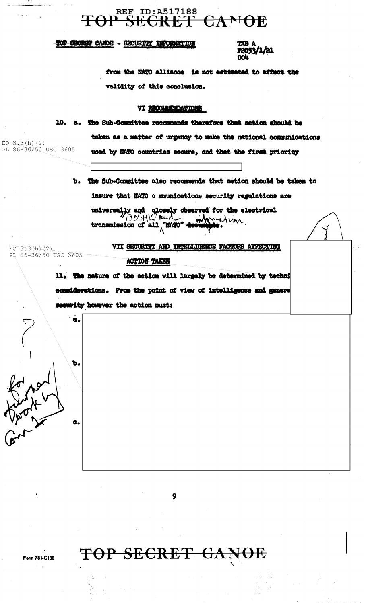### REF\_ID:A517188<br>P\_SECRET\_CANOE **TOP**

TOP SHORET CANDE - SECURITY INFORMATION

**79053/1/B1** 

from the NATO alliance is not estimated to affect the validity of this conclusion.

### VI RECOMMENDATIONS

10. a. The Sub-Committee recommends therefore that action should be taken as a matter of urgency to make the national communications PL 86-36/50 USC 3605 used by NATO countries secure, and that the first priority

> b. The Sub-Committee also recommends that action should be taken to insure that NATO c mmunications security regulations are

mornation. transmission of all "MATO"

 $E_0$  3.3(h)(2) PL 86-36/50 USC 3605

b.

 $\bullet$ 

 $EO-3.3(h) (2)$ 

VII SECURITY AND INTELLIGENCE PACTORS AFFECTING ACTION TAKEN

11. The nature of the action will largely be determined by techni considerations. From the point of view of intelligence and genere security however the action must:

9



Form 781-C135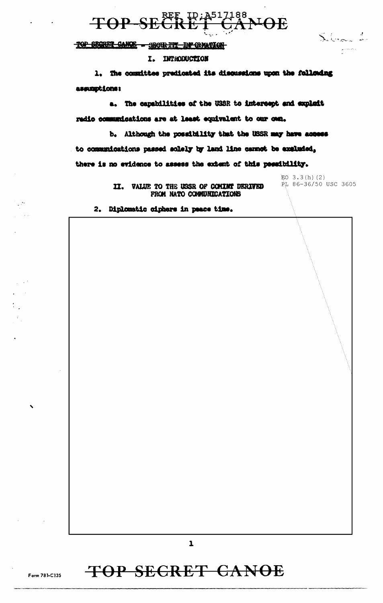

TOP SECONT CANCE - SECURITY IN CREATION

#### I. INTRODUCTION

The committee predicated its discussions upon the following  $\mathbf{1}_{\bullet}$ assamptions:

a. The capabilities of the USSR to intercept and explait radio communications are at least equivalent to our onn.

b. Although the possibility that the USSR may have access to communications passed solely by land line cannot be excluded, there is no evidence to assess the extent of this possibility.

> II. VALUE TO THE USSR OF COMINT DERIVED FROM NATO COMMUNICATIONS

EO  $3.3(h)$  (2) PL 86-36/50 USC 3605

Silver 1

2. Diplomatic ciphers in peace time.

 $\mathbf{1}$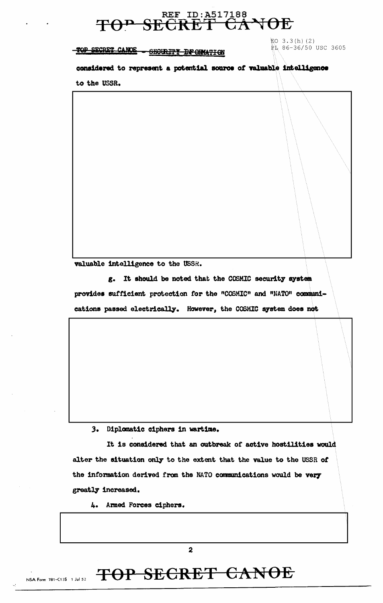TOP SECRET CANCE - SECURITY INFORMATION

EO 3.3(h)(2)<br>PL 86-36/50 USC 3605

considered to represent a potential source of valuable intelligence

to the USSR.

valuable intelligence to the USSR.

g. It should be noted that the COSMIC security system provides sufficient protection for the "COSMIC" and "NATO" communications passed electrically. However, the COSMIC system does not

### 3. Diplomatic ciphers in wartime.

It is considered that an outbreak of active hostilities would alter the situation only to the extent that the value to the USSR of the information derived from the NATO communications would be very greatly increased.

4. Armed Forces ciphers.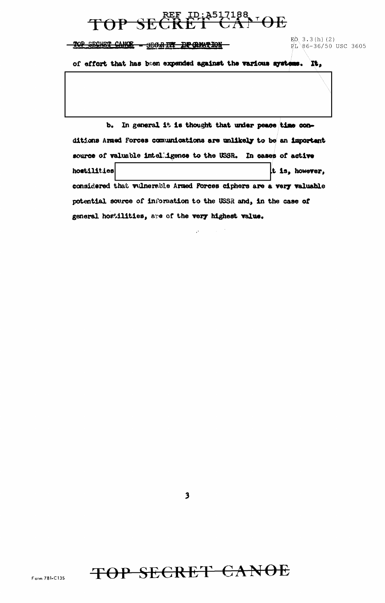### $F$ <sup>1D:A517188</sup>,  $F$ TOP

TOP SECRET CANCE - SECRETT DP GRATION

 $E0, 3.3(h) (2)$ FL 86-36/50 USC 3605

of effort that has been expended against the various systems. It,

b. In general it is thought that under peace time conditions Armed Forces communications are unlikely to be an important source of valuable intelligence to the USSR. In cases of active hostilities it is, however. considered that vulnerable Armed Forces ciphers are a very valuable potential source of information to the USSR and, in the case of general hostilities, are of the very highest value.

 $\overline{\mathbf{3}}$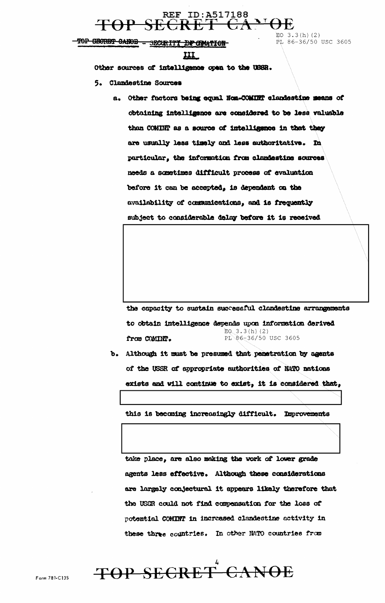

TOP CROTET CANOE - SECURITY DF CRATION

EO  $3.3(h)(2)$  $\vec{P}$ L 86-36/50 USC 3605

$$
\underline{\mathbf{III}}
$$

Other sources of intelligence open to the USSR.

- 5. Clandestine Sources
	- a. Other factors being equal Non-COMINT clandestine means of obtaining intelligence are considered to be less valuable than COMINT as a source of intelligence in that they are usually less timely and less suthoritative. In particular, the information from clandestine sources needs a sometimes difficult process of evaluation before it can be accepted, is dependent on the availability of communications, and is frequently subject to considerable delay before it is received

the capacity to sustain successful clandestine arrangements to obtain intelligence depends upon information derived  $EQ$  3.3(h)(2) from COMINT. PL 86-36/50 USC 3605

b. Although it must be presumed that penetration by agents of the USSR of appropriate authorities of NATO nations exists and will continue to exist, it is considered that,

this is becoming increasingly difficult. Improvements

take place, are also making the work of lower grade agents less effective. Although these considerations are largely conjectural it appears likely therefore that the USSR could not find compensation for the loss of potential COMINT in increased clandestine activity in these three countries. In other NATO countries from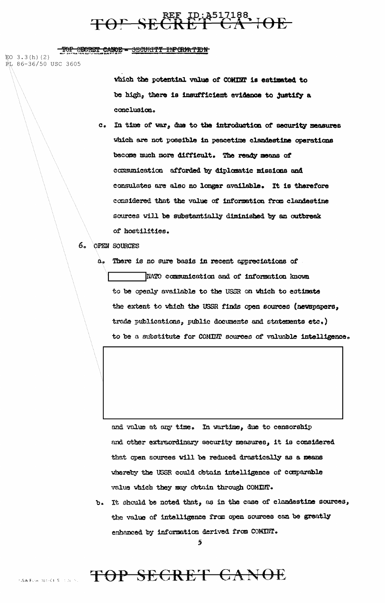## TOP SECRET LOATOR

TOP SECRET CANOE - SECURITY INFORMATION

EO  $3.3(h)$  (2)

RL 86-36/50 USC 3605

which the potential value of COMINT is estimated to be high, there is insufficient evidence to justify a conclusion.

c. In time of war, due to the introduction of security measures which are not possible in peacetime clandestine operations become much more difficult. The ready means of communication afforded by diplomatic missions and consulates are also no longer available. It is therefore considered that the value of information from clandestine sources will be substantially diminished by an outbreak of hostilities.

#### 6. OPEN SOURCES

 $\mathbf{a}_\bullet$ 

There is no sure basis in recent appreciations of NATO communication and of information known to be openly available to the USSR on which to estimate the extent to which the USSR finds open sources (newspapers, trade publications, public documents and statements etc.) to be a substitute for COMINT sources of valuable intelligence.

and value at any time. In wartime, due to censorship and other extraordinary security measures, it is considered that open sources will be reduced drastically as a means whereby the USSR could obtain intelligence of comparable value which they may obtain through COMINT.

b. It should be noted that, as in the case of clandestine sources, the value of intelligence from open sources can be greatly enhanced by information derived from COMINT.